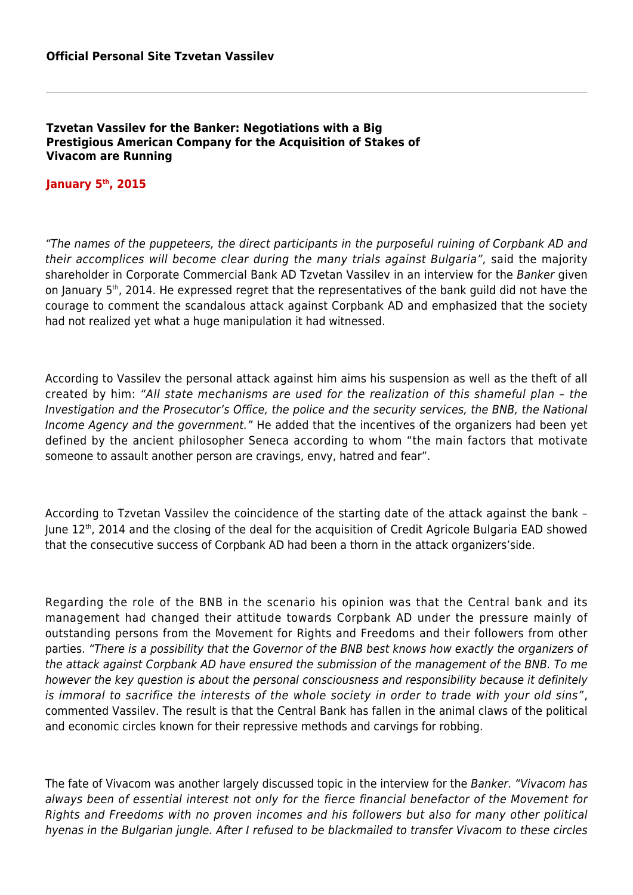## **Tzvetan Vassilev for the Banker: Negotiations with a Big Prestigious American Company for the Acquisition of Stakes of Vivacom are Running**

## **January 5th, 2015**

"The names of the puppeteers, the direct participants in the purposeful ruining of Corpbank AD and their accomplices will become clear during the many trials against Bulgaria", said the majority shareholder in Corporate Commercial Bank AD Tzvetan Vassilev in an interview for the Banker given on January 5<sup>th</sup>, 2014. He expressed regret that the representatives of the bank guild did not have the courage to comment the scandalous attack against Corpbank AD and emphasized that the society had not realized yet what a huge manipulation it had witnessed.

According to Vassilev the personal attack against him aims his suspension as well as the theft of all created by him: "All state mechanisms are used for the realization of this shameful plan – the Investigation and the Prosecutor's Office, the police and the security services, the BNB, the National Income Agency and the government." He added that the incentives of the organizers had been yet defined by the ancient philosopher Seneca according to whom "the main factors that motivate someone to assault another person are cravings, envy, hatred and fear".

According to Tzvetan Vassilev the coincidence of the starting date of the attack against the bank – June 12<sup>th</sup>, 2014 and the closing of the deal for the acquisition of Credit Agricole Bulgaria EAD showed that the consecutive success of Corpbank AD had been a thorn in the attack organizers'side.

Regarding the role of the BNB in the scenario his opinion was that the Central bank and its management had changed their attitude towards Corpbank AD under the pressure mainly of outstanding persons from the Movement for Rights and Freedoms and their followers from other parties. "There is a possibility that the Governor of the BNB best knows how exactly the organizers of the attack against Corpbank AD have ensured the submission of the management of the BNB. To me however the key question is about the personal consciousness and responsibility because it definitely is immoral to sacrifice the interests of the whole society in order to trade with your old sins", commented Vassilev. The result is that the Central Bank has fallen in the animal claws of the political and economic circles known for their repressive methods and carvings for robbing.

The fate of Vivacom was another largely discussed topic in the interview for the Banker. "Vivacom has always been of essential interest not only for the fierce financial benefactor of the Movement for Rights and Freedoms with no proven incomes and his followers but also for many other political hyenas in the Bulgarian jungle. After I refused to be blackmailed to transfer Vivacom to these circles